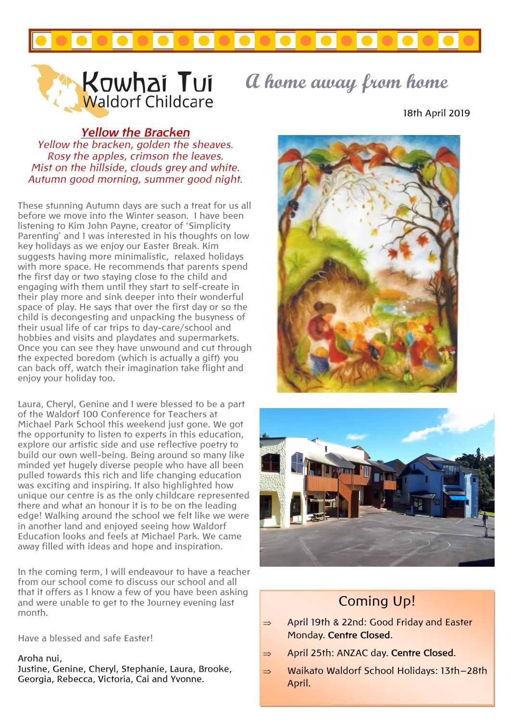



# **Kowhai Tui** a home away from home

18th April 2019

### *Yellow the Bracken*

*Yellow the bracken, golden the sheaves. Rosy the apples, crimson the leaves. Mist on the hillside, clouds grey and white. Autumn good morning, summer good night.*

These stunning Autumn days are such a treat for us all before we move into the Winter season. I have been listening to Kim John Payne, creator of 'Simplicity Parenting' and I was interested in his thoughts on low key holidays as we enjoy our Easter Break. Kim suggests having more minimalistic, relaxed holidays with more space. He recommends that parents spend the first day or two staying close to the child and engaging with them until they start to self-create in their play more and sink deeper into their wonderful space of play. He says that over the first day or so the child is decongesting and unpacking the busyness of their usual life of car trips to day-care/school and hobbies and visits and playdates and supermarkets. Once you can see they have unwound and cut through the expected boredom (which is actually a gift) you can back off, watch their imagination take flight and enjoy your holiday too.

Laura, Cheryl, Genine and I were blessed to be a part of the Waldorf 100 Conference for Teachers at Michael Park School this weekend just gone. We got the opportunity to listen to experts in this education, explore our artistic side and use reflective poetry to build our own well-being. Being around so many like minded yet hugely diverse people who have all been pulled towards this rich and life changing education was exciting and inspiring. It also highlighted how unique our centre is as the only childcare represented there and what an honour it is to be on the leading edge! Walking around the school we felt like we were in another land and enjoyed seeing how Waldorf Education looks and feels at Michael Park. We came away filled with ideas and hope and inspiration.

In the coming term, I will endeavour to have a teacher from our school come to discuss our school and all that it offers as I know a few of you have been asking and were unable to get to the Journey evening last month.

Have a blessed and safe Easter!

#### Aroha nui,

Justine, Genine, Cheryl, Stephanie, Laura, Brooke, Georgia, Rebecca, Victoria, Cai and Yvonne.





## Coming Up!

- $\Rightarrow$  April 19th & 22nd: Good Friday and Easter Monday. **Centre Closed**.
- April 25th: ANZAC day. **Centre Closed**.
- $\Rightarrow$  Waikato Waldorf School Holidays: 13th-28th April.